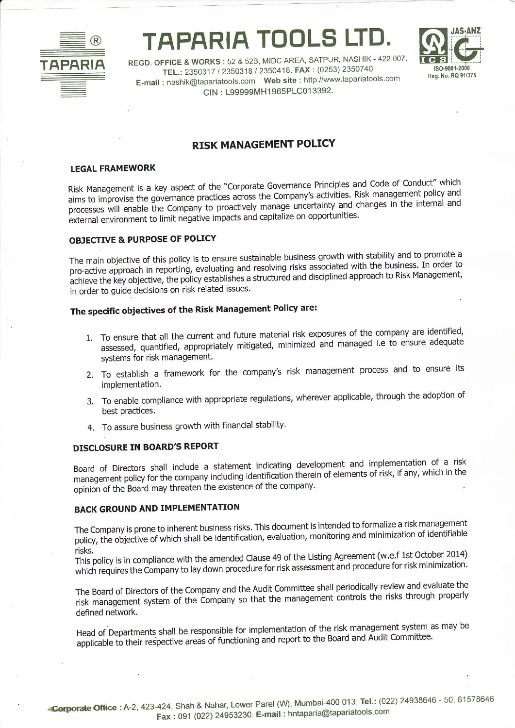

# **TAPARIA TOOLS LI**



REGD. OFFICE & WORKS: 52 & 52B, MIDC AREA, SATPUR, NASHIK - 422 007. TEL.: 2350317 / 2350318 / 2350418. FAX: (0253) 2350740 CIN: L99999MH1965PLC013392.

## **RISK MANAGEMENT POLICY**

#### **LEGAL FRAMEWORK**

Risk Management is a key aspect of the "Corporate Governance Principles and Code of Conduct" which aims to improvise the governance practices across the Company's activities. Risk management policy and processes will enable the Company to proactively manage uncertainty and changes in the internal and external environment to limit negative impacts and capitalize on opportunities.

### **OBJECTIVE & PURPOSE OF POLICY**

The main objective of this policy is to ensure sustainable business growth with stability and to promote a pro-active approach in reporting, evaluating and resolving risks associated with the business. In order to achieve the key objective, the policy establishes a structured and disciplined approach to Risk Management, in order to guide decisions on risk related issues.

# The specific objectives of the Risk Management Policy are:

- 1. To ensure that all the current and future material risk exposures of the company are identified, assessed, quantified, appropriately mitigated, minimized and managed i.e to ensure adequate systems for risk management.
- 2. To establish a framework for the company's risk management process and to ensure its implementation.
- 3. To enable compliance with appropriate regulations, wherever applicable, through the adoption of best practices.
- 4. To assure business growth with financial stability.

#### **DISCLOSURE IN BOARD'S REPORT**

Board of Directors shall include a statement indicating development and implementation of a risk management policy for the company including identification therein of elements of risk, if any, which in the opinion of the Board may threaten the existence of the company.

#### **BACK GROUND AND IMPLEMENTATION**

The Company is prone to inherent business risks. This document is intended to formalize a risk management policy, the objective of which shall be identification, evaluation, monitoring and minimization of identifiable risks.

This policy is in compliance with the amended Clause 49 of the Listing Agreement (w.e.f 1st October 2014) which requires the Company to lay down procedure for risk assessment and procedure for risk minimization.

The Board of Directors of the Company and the Audit Committee shall periodically review and evaluate the risk management system of the Company so that the management controls the risks through properly defined network.

Head of Departments shall be responsible for implementation of the risk management system as may be applicable to their respective areas of functioning and report to the Board and Audit Committee.

Corporate Office: A-2, 423-424, Shah & Nahar, Lower Parel (W), Mumbai-400 013. Tel.: (022) 24938646 - 50, 61578646 Fax: 091 (022) 24953230. E-mail: hntaparia@tapariatools.com